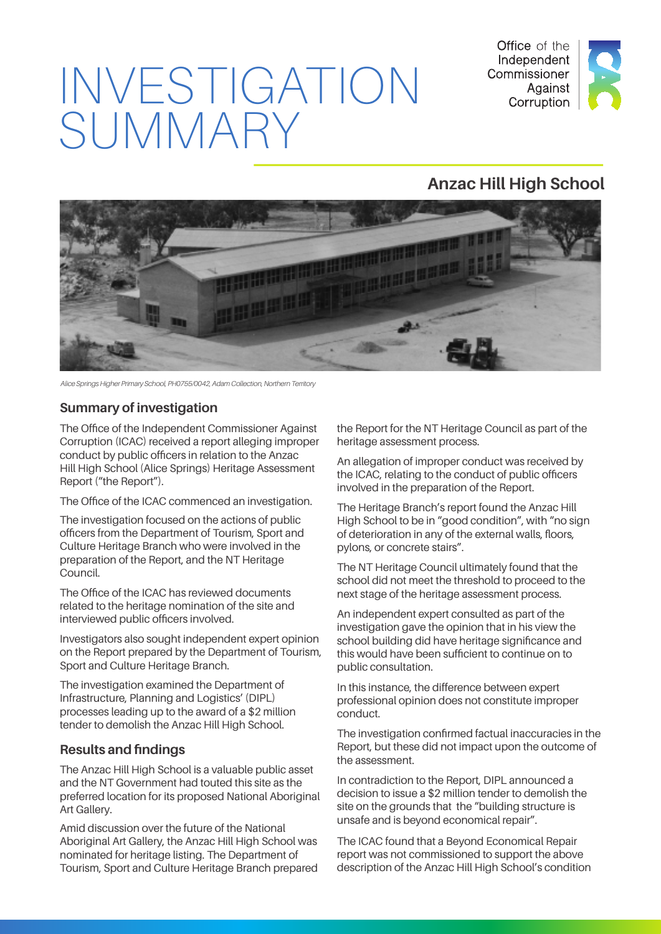

# INVESTIGATION SUMMARY

## **Anzac Hill High School**



*Alice Springs Higher Primary School, PH0755/0042, Adam Collection, Northern Territory* 

#### **Summary of investigation**

The Office of the Independent Commissioner Against Corruption (ICAC) received a report alleging improper conduct by public officers in relation to the Anzac Hill High School (Alice Springs) Heritage Assessment Report ("the Report").

The Office of the ICAC commenced an investigation.

The investigation focused on the actions of public officers from the Department of Tourism, Sport and Culture Heritage Branch who were involved in the preparation of the Report, and the NT Heritage Council.

The Office of the ICAC has reviewed documents related to the heritage nomination of the site and interviewed public officers involved.

Investigators also sought independent expert opinion on the Report prepared by the Department of Tourism, Sport and Culture Heritage Branch.

The investigation examined the Department of Infrastructure, Planning and Logistics' (DIPL) processes leading up to the award of a \$2 million tender to demolish the Anzac Hill High School.

#### **Results and findings**

The Anzac Hill High School is a valuable public asset and the NT Government had touted this site as the preferred location for its proposed National Aboriginal Art Gallery.

Amid discussion over the future of the National Aboriginal Art Gallery, the Anzac Hill High School was nominated for heritage listing. The Department of Tourism, Sport and Culture Heritage Branch prepared

the Report for the NT Heritage Council as part of the heritage assessment process.

An allegation of improper conduct was received by the ICAC, relating to the conduct of public officers involved in the preparation of the Report.

The Heritage Branch's report found the Anzac Hill High School to be in "good condition", with "no sign of deterioration in any of the external walls, floors, pylons, or concrete stairs".

The NT Heritage Council ultimately found that the school did not meet the threshold to proceed to the next stage of the heritage assessment process.

An independent expert consulted as part of the investigation gave the opinion that in his view the school building did have heritage significance and this would have been sufficient to continue on to public consultation.

In this instance, the difference between expert professional opinion does not constitute improper conduct.

The investigation confirmed factual inaccuracies in the Report, but these did not impact upon the outcome of the assessment.

In contradiction to the Report, DIPL announced a decision to issue a \$2 million tender to demolish the site on the grounds that the "building structure is unsafe and is beyond economical repair".

The ICAC found that a Beyond Economical Repair report was not commissioned to support the above description of the Anzac Hill High School's condition